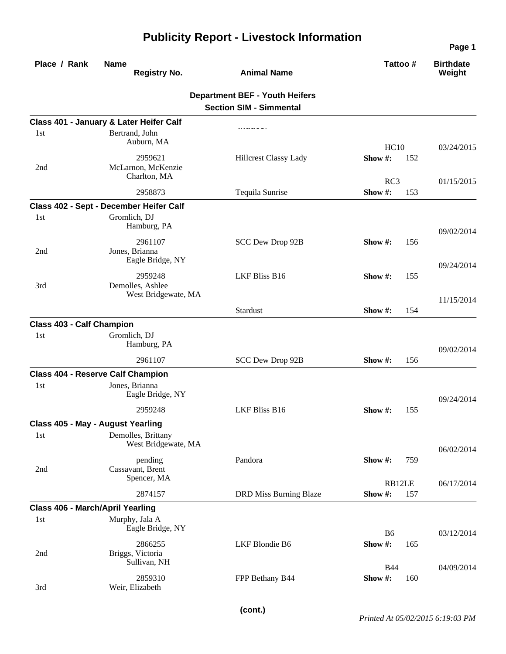| Place / Rank                            | <b>Name</b><br><b>Registry No.</b>                 | <b>Animal Name</b>                                                      | Tattoo #              |     | <b>Birthdate</b><br>Weight |
|-----------------------------------------|----------------------------------------------------|-------------------------------------------------------------------------|-----------------------|-----|----------------------------|
|                                         |                                                    | <b>Department BEF - Youth Heifers</b><br><b>Section SIM - Simmental</b> |                       |     |                            |
|                                         | Class 401 - January & Later Heifer Calf            |                                                                         |                       |     |                            |
| 1st                                     | Bertrand, John<br>Auburn, MA                       |                                                                         | HC10                  |     | 03/24/2015                 |
| 2nd                                     | 2959621<br>McLarnon, McKenzie<br>Charlton, MA      | <b>Hillcrest Classy Lady</b>                                            | Show#:<br>RC3         | 152 | 01/15/2015                 |
|                                         | 2958873                                            | Tequila Sunrise                                                         | Show#:                | 153 |                            |
|                                         | Class 402 - Sept - December Heifer Calf            |                                                                         |                       |     |                            |
| 1st                                     | Gromlich, DJ<br>Hamburg, PA                        |                                                                         |                       |     | 09/02/2014                 |
| 2nd                                     | 2961107<br>Jones, Brianna<br>Eagle Bridge, NY      | SCC Dew Drop 92B                                                        | Show $#$ :            | 156 |                            |
| 3rd                                     | 2959248<br>Demolles, Ashlee<br>West Bridgewate, MA | <b>LKF Bliss B16</b>                                                    | Show #:               | 155 | 09/24/2014                 |
|                                         |                                                    | Stardust                                                                | Show $#$ :            | 154 | 11/15/2014                 |
| <b>Class 403 - Calf Champion</b>        |                                                    |                                                                         |                       |     |                            |
| 1st                                     | Gromlich, DJ<br>Hamburg, PA                        |                                                                         |                       |     | 09/02/2014                 |
|                                         | 2961107                                            | SCC Dew Drop 92B                                                        | Show #:               | 156 |                            |
|                                         | <b>Class 404 - Reserve Calf Champion</b>           |                                                                         |                       |     |                            |
| 1st                                     | Jones, Brianna<br>Eagle Bridge, NY                 |                                                                         |                       |     | 09/24/2014                 |
|                                         | 2959248                                            | LKF Bliss B16                                                           | Show #:               | 155 |                            |
|                                         | Class 405 - May - August Yearling                  |                                                                         |                       |     |                            |
| 1st                                     | Demolles, Brittany<br>West Bridgewate, MA          |                                                                         |                       |     | 06/02/2014                 |
| 2nd                                     | pending<br>Cassavant, Brent<br>Spencer, MA         | Pandora                                                                 | Show #:               | 759 |                            |
|                                         | 2874157                                            | DRD Miss Burning Blaze                                                  | RB12LE<br>Show#:      | 157 | 06/17/2014                 |
| <b>Class 406 - March/April Yearling</b> |                                                    |                                                                         |                       |     |                            |
| 1st                                     | Murphy, Jala A<br>Eagle Bridge, NY                 |                                                                         | <b>B6</b>             |     |                            |
| 2nd                                     | 2866255<br>Briggs, Victoria<br>Sullivan, NH        | LKF Blondie B6                                                          | Show#:                | 165 | 03/12/2014                 |
| 3rd                                     | 2859310<br>Weir, Elizabeth                         | FPP Bethany B44                                                         | <b>B44</b><br>Show #: | 160 | 04/09/2014                 |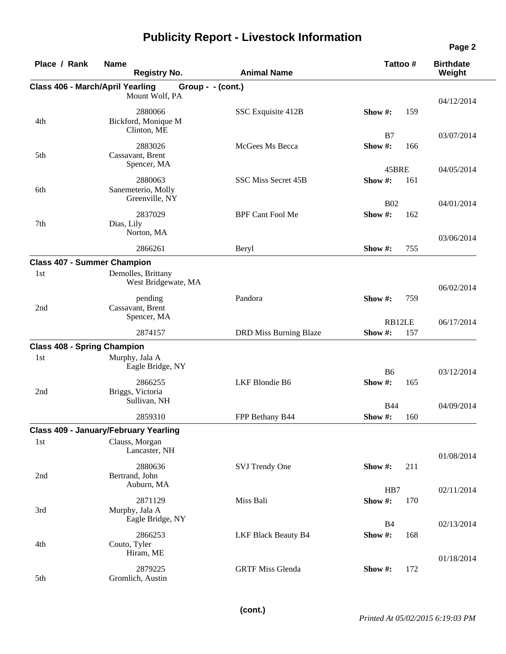| Place / Rank                            | <b>Name</b><br><b>Registry No.</b>              | <b>Animal Name</b>            | Tattoo#              | <b>Birthdate</b><br>Weight |
|-----------------------------------------|-------------------------------------------------|-------------------------------|----------------------|----------------------------|
| <b>Class 406 - March/April Yearling</b> | Group - - (cont.)                               |                               |                      |                            |
|                                         | Mount Wolf, PA                                  |                               |                      | 04/12/2014                 |
| 4th                                     | 2880066<br>Bickford, Monique M<br>Clinton, ME   | SSC Exquisite 412B            | Show#:               | 159                        |
|                                         |                                                 |                               | B7                   | 03/07/2014                 |
| 5th                                     | 2883026<br>Cassavant, Brent<br>Spencer, MA      | McGees Ms Becca               | Show #:              | 166                        |
|                                         |                                                 |                               | 45BRE                | 04/05/2014                 |
| 6th                                     | 2880063<br>Sanemeterio, Molly<br>Greenville, NY | SSC Miss Secret 45B           | Show $#$ :           | 161                        |
|                                         |                                                 |                               | <b>B02</b>           | 04/01/2014                 |
| 7th                                     | 2837029<br>Dias, Lily<br>Norton, MA             | <b>BPF Cant Fool Me</b>       | Show #:              | 162                        |
|                                         | 2866261                                         | Beryl                         | Show #:              | 03/06/2014<br>755          |
| <b>Class 407 - Summer Champion</b>      |                                                 |                               |                      |                            |
| 1st                                     | Demolles, Brittany<br>West Bridgewate, MA       |                               |                      | 06/02/2014                 |
| 2nd                                     | pending<br>Cassavant, Brent                     | Pandora                       | Show $#$ :           | 759                        |
|                                         | Spencer, MA                                     |                               | RB12LE               | 06/17/2014                 |
|                                         | 2874157                                         | <b>DRD Miss Burning Blaze</b> | Show #:              | 157                        |
| <b>Class 408 - Spring Champion</b>      |                                                 |                               |                      |                            |
| 1st                                     | Murphy, Jala A<br>Eagle Bridge, NY              |                               | <b>B6</b>            | 03/12/2014                 |
| 2nd                                     | 2866255<br>Briggs, Victoria<br>Sullivan, NH     | LKF Blondie B6                | Show#:               | 165                        |
|                                         |                                                 |                               | <b>B44</b>           | 04/09/2014                 |
|                                         | 2859310                                         | FPP Bethany B44               | Show#:               | 160                        |
|                                         | <b>Class 409 - January/February Yearling</b>    |                               |                      |                            |
| 1st                                     | Clauss, Morgan<br>Lancaster, NH                 |                               |                      | 01/08/2014                 |
| 2nd                                     | 2880636<br>Bertrand, John<br>Auburn, MA         | SVJ Trendy One                | Show #:              | 211                        |
|                                         |                                                 |                               | HB7                  | 02/11/2014                 |
| 3rd                                     | 2871129<br>Murphy, Jala A<br>Eagle Bridge, NY   | Miss Bali                     | Show #:              | 170                        |
| 4th                                     | 2866253<br>Couto, Tyler                         | <b>LKF Black Beauty B4</b>    | <b>B4</b><br>Show #: | 02/13/2014<br>168          |
|                                         | Hiram, ME                                       |                               |                      | 01/18/2014                 |
| 5th                                     | 2879225<br>Gromlich, Austin                     | <b>GRTF Miss Glenda</b>       | Show #:              | 172                        |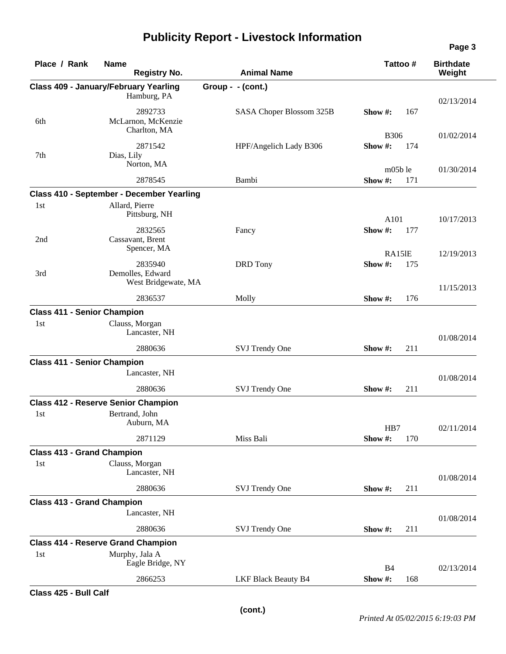| Place / Rank                       | <b>Name</b><br><b>Registry No.</b>            | <b>Animal Name</b>         | Tattoo#           |     | <b>Birthdate</b><br>Weight |
|------------------------------------|-----------------------------------------------|----------------------------|-------------------|-----|----------------------------|
|                                    | <b>Class 409 - January/February Yearling</b>  | Group - - (cont.)          |                   |     |                            |
|                                    | Hamburg, PA                                   |                            |                   |     | 02/13/2014                 |
| 6th                                | 2892733<br>McLarnon, McKenzie<br>Charlton, MA | SASA Choper Blossom 325B   | Show $#$ :        | 167 |                            |
|                                    |                                               |                            | <b>B306</b>       |     | 01/02/2014                 |
| 7th                                | 2871542<br>Dias, Lily<br>Norton, MA           | HPF/Angelich Lady B306     | Show#:            | 174 |                            |
|                                    | 2878545                                       | Bambi                      | m05b le<br>Show#: | 171 | 01/30/2014                 |
|                                    | Class 410 - September - December Yearling     |                            |                   |     |                            |
| 1st                                | Allard, Pierre<br>Pittsburg, NH               |                            | A101              |     | 10/17/2013                 |
| 2nd                                | 2832565<br>Cassavant, Brent                   | Fancy                      | Show#:            | 177 |                            |
|                                    | Spencer, MA                                   |                            | RA15IE            |     | 12/19/2013                 |
| 3rd                                | 2835940<br>Demolles, Edward                   | <b>DRD</b> Tony            | Show#:            | 175 |                            |
|                                    | West Bridgewate, MA                           |                            |                   |     | 11/15/2013                 |
|                                    | 2836537                                       | Molly                      | Show #:           | 176 |                            |
| <b>Class 411 - Senior Champion</b> |                                               |                            |                   |     |                            |
| 1st                                | Clauss, Morgan<br>Lancaster, NH               |                            |                   |     | 01/08/2014                 |
|                                    | 2880636                                       | SVJ Trendy One             | Show #:           | 211 |                            |
| <b>Class 411 - Senior Champion</b> | Lancaster, NH                                 |                            |                   |     | 01/08/2014                 |
|                                    | 2880636                                       | SVJ Trendy One             | Show #:           | 211 |                            |
|                                    | <b>Class 412 - Reserve Senior Champion</b>    |                            |                   |     |                            |
| 1st                                | Bertrand, John<br>Auburn, MA                  |                            | HB7               |     | 02/11/2014                 |
|                                    | 2871129                                       | Miss Bali                  | Show #:           | 170 |                            |
| <b>Class 413 - Grand Champion</b>  |                                               |                            |                   |     |                            |
| 1st                                | Clauss, Morgan<br>Lancaster, NH               |                            |                   |     | 01/08/2014                 |
|                                    | 2880636                                       | SVJ Trendy One             | Show#:            | 211 |                            |
| <b>Class 413 - Grand Champion</b>  |                                               |                            |                   |     |                            |
|                                    | Lancaster, NH                                 |                            |                   |     | 01/08/2014                 |
|                                    | 2880636                                       | SVJ Trendy One             | Show #:           | 211 |                            |
|                                    | <b>Class 414 - Reserve Grand Champion</b>     |                            |                   |     |                            |
| 1st                                | Murphy, Jala A<br>Eagle Bridge, NY            |                            | <b>B4</b>         |     | 02/13/2014                 |
|                                    | 2866253                                       | <b>LKF Black Beauty B4</b> | Show#:            | 168 |                            |
|                                    |                                               |                            |                   |     |                            |

**Class 425 - Bull Calf**